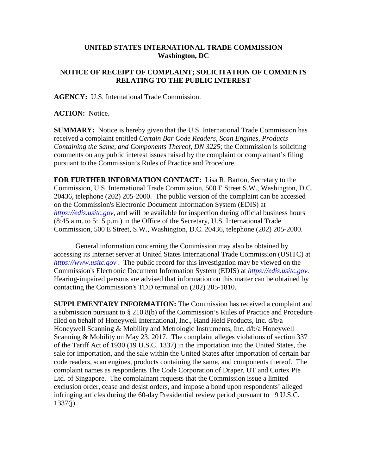## **UNITED STATES INTERNATIONAL TRADE COMMISSION Washington, DC**

## **NOTICE OF RECEIPT OF COMPLAINT; SOLICITATION OF COMMENTS RELATING TO THE PUBLIC INTEREST**

**AGENCY:** U.S. International Trade Commission.

**ACTION:** Notice.

**SUMMARY:** Notice is hereby given that the U.S. International Trade Commission has received a complaint entitled *Certain Bar Code Readers, Scan Engines, Products Containing the Same, and Components Thereof, DN 3225*; the Commission is soliciting comments on any public interest issues raised by the complaint or complainant's filing pursuant to the Commission's Rules of Practice and Procedure.

**FOR FURTHER INFORMATION CONTACT:** Lisa R. Barton, Secretary to the Commission, U.S. International Trade Commission, 500 E Street S.W., Washington, D.C. 20436, telephone (202) 205-2000. The public version of the complaint can be accessed on the Commission's Electronic Document Information System (EDIS) at *[https://edis.usitc.gov](https://edis.usitc.gov/)*, and will be available for inspection during official business hours (8:45 a.m. to 5:15 p.m.) in the Office of the Secretary, U.S. International Trade Commission, 500 E Street, S.W., Washington, D.C. 20436, telephone (202) 205-2000.

General information concerning the Commission may also be obtained by accessing its Internet server at United States International Trade Commission (USITC) at *[https://www.usitc.gov](https://www.usitc.gov/)* . The public record for this investigation may be viewed on the Commission's Electronic Document Information System (EDIS) at *[https://edis.usitc.gov.](https://edis.usitc.gov/)* Hearing-impaired persons are advised that information on this matter can be obtained by contacting the Commission's TDD terminal on (202) 205-1810.

**SUPPLEMENTARY INFORMATION:** The Commission has received a complaint and a submission pursuant to § 210.8(b) of the Commission's Rules of Practice and Procedure filed on behalf of Honeywell International, Inc., Hand Held Products, Inc. d/b/a Honeywell Scanning & Mobility and Metrologic Instruments, Inc. d/b/a Honeywell Scanning & Mobility on May 23, 2017. The complaint alleges violations of section 337 of the Tariff Act of 1930 (19 U.S.C. 1337) in the importation into the United States, the sale for importation, and the sale within the United States after importation of certain bar code readers, scan engines, products containing the same, and components thereof. The complaint names as respondents The Code Corporation of Draper, UT and Cortex Pte Ltd. of Singapore. The complainant requests that the Commission issue a limited exclusion order, cease and desist orders, and impose a bond upon respondents' alleged infringing articles during the 60-day Presidential review period pursuant to 19 U.S.C. 1337(j).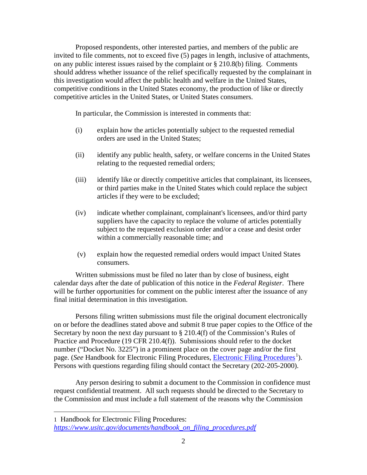Proposed respondents, other interested parties, and members of the public are invited to file comments, not to exceed five (5) pages in length, inclusive of attachments, on any public interest issues raised by the complaint or § 210.8(b) filing. Comments should address whether issuance of the relief specifically requested by the complainant in this investigation would affect the public health and welfare in the United States, competitive conditions in the United States economy, the production of like or directly competitive articles in the United States, or United States consumers.

In particular, the Commission is interested in comments that:

- (i) explain how the articles potentially subject to the requested remedial orders are used in the United States;
- (ii) identify any public health, safety, or welfare concerns in the United States relating to the requested remedial orders;
- (iii) identify like or directly competitive articles that complainant, its licensees, or third parties make in the United States which could replace the subject articles if they were to be excluded;
- (iv) indicate whether complainant, complainant's licensees, and/or third party suppliers have the capacity to replace the volume of articles potentially subject to the requested exclusion order and/or a cease and desist order within a commercially reasonable time; and
- (v) explain how the requested remedial orders would impact United States consumers.

Written submissions must be filed no later than by close of business, eight calendar days after the date of publication of this notice in the *Federal Register*. There will be further opportunities for comment on the public interest after the issuance of any final initial determination in this investigation.

Persons filing written submissions must file the original document electronically on or before the deadlines stated above and submit 8 true paper copies to the Office of the Secretary by noon the next day pursuant to  $\S 210.4(f)$  of the Commission's Rules of Practice and Procedure (19 CFR 210.4(f)). Submissions should refer to the docket number ("Docket No. 3225") in a prominent place on the cover page and/or the first page. (*See* Handbook for [Electronic Filing Procedures](https://www.usitc.gov/documents/handbook_on_filing_procedures.pdf), *Electronic Filing Procedures*<sup>[1](#page-1-0)</sup>). Persons with questions regarding filing should contact the Secretary (202-205-2000).

Any person desiring to submit a document to the Commission in confidence must request confidential treatment. All such requests should be directed to the Secretary to the Commission and must include a full statement of the reasons why the Commission

 $\overline{a}$ 

<span id="page-1-0"></span><sup>1</sup> Handbook for Electronic Filing Procedures: *[https://www.usitc.gov/documents/handbook\\_on\\_filing\\_procedures.pdf](https://www.usitc.gov/documents/handbook_on_filing_procedures.pdf)*